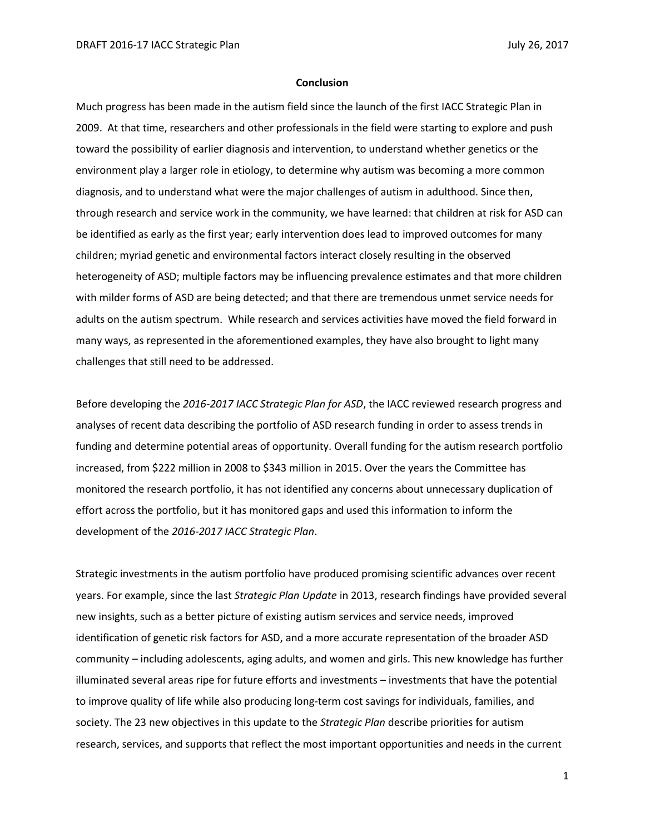## **Conclusion**

Much progress has been made in the autism field since the launch of the first IACC Strategic Plan in 2009. At that time, researchers and other professionals in the field were starting to explore and push toward the possibility of earlier diagnosis and intervention, to understand whether genetics or the environment play a larger role in etiology, to determine why autism was becoming a more common diagnosis, and to understand what were the major challenges of autism in adulthood. Since then, through research and service work in the community, we have learned: that children at risk for ASD can be identified as early as the first year; early intervention does lead to improved outcomes for many children; myriad genetic and environmental factors interact closely resulting in the observed heterogeneity of ASD; multiple factors may be influencing prevalence estimates and that more children with milder forms of ASD are being detected; and that there are tremendous unmet service needs for adults on the autism spectrum. While research and services activities have moved the field forward in many ways, as represented in the aforementioned examples, they have also brought to light many challenges that still need to be addressed.

Before developing the *2016-2017 IACC Strategic Plan for ASD*, the IACC reviewed research progress and analyses of recent data describing the portfolio of ASD research funding in order to assess trends in funding and determine potential areas of opportunity. Overall funding for the autism research portfolio increased, from \$222 million in 2008 to \$343 million in 2015. Over the years the Committee has monitored the research portfolio, it has not identified any concerns about unnecessary duplication of effort across the portfolio, but it has monitored gaps and used this information to inform the development of the *2016-2017 IACC Strategic Plan*.

Strategic investments in the autism portfolio have produced promising scientific advances over recent years. For example, since the last *Strategic Plan Update* in 2013, research findings have provided several new insights, such as a better picture of existing autism services and service needs, improved identification of genetic risk factors for ASD, and a more accurate representation of the broader ASD community – including adolescents, aging adults, and women and girls. This new knowledge has further illuminated several areas ripe for future efforts and investments – investments that have the potential to improve quality of life while also producing long-term cost savings for individuals, families, and society. The 23 new objectives in this update to the *Strategic Plan* describe priorities for autism research, services, and supports that reflect the most important opportunities and needs in the current